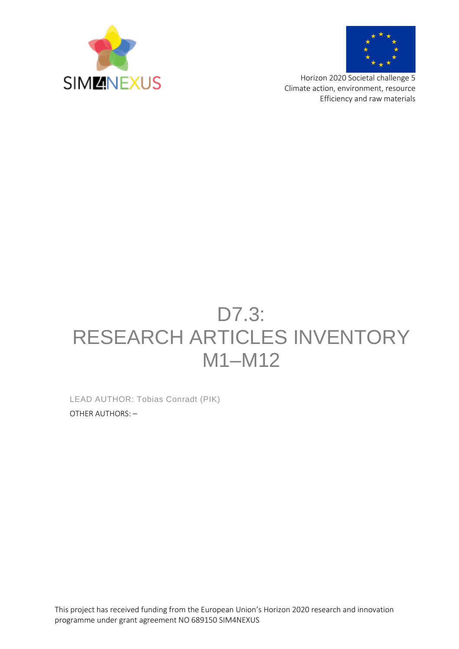



Horizon 2020 Societal challenge 5 Climate action, environment, resource Efficiency and raw materials

# D7.3: RESEARCH ARTICLES INVENTORY M1–M12

LEAD AUTHOR: Tobias Conradt (PIK) OTHER AUTHORS: –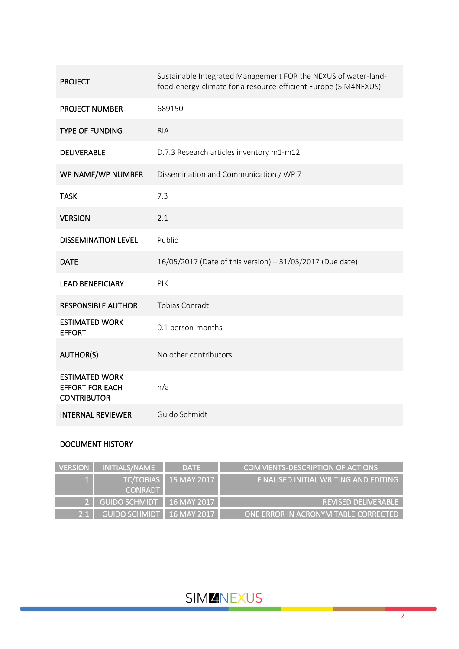| <b>PROJECT</b>                                                        | Sustainable Integrated Management FOR the NEXUS of water-land-<br>food-energy-climate for a resource-efficient Europe (SIM4NEXUS) |
|-----------------------------------------------------------------------|-----------------------------------------------------------------------------------------------------------------------------------|
| <b>PROJECT NUMBER</b>                                                 | 689150                                                                                                                            |
| <b>TYPE OF FUNDING</b>                                                | <b>RIA</b>                                                                                                                        |
| <b>DELIVERABLE</b>                                                    | D.7.3 Research articles inventory m1-m12                                                                                          |
| WP NAME/WP NUMBER                                                     | Dissemination and Communication / WP 7                                                                                            |
| <b>TASK</b>                                                           | 7.3                                                                                                                               |
| <b>VERSION</b>                                                        | 2.1                                                                                                                               |
| <b>DISSEMINATION LEVEL</b>                                            | Public                                                                                                                            |
| <b>DATE</b>                                                           | 16/05/2017 (Date of this version) - 31/05/2017 (Due date)                                                                         |
| <b>LEAD BENEFICIARY</b>                                               | PIK                                                                                                                               |
| <b>RESPONSIBLE AUTHOR</b>                                             | <b>Tobias Conradt</b>                                                                                                             |
| <b>ESTIMATED WORK</b><br><b>EFFORT</b>                                | 0.1 person-months                                                                                                                 |
| <b>AUTHOR(S)</b>                                                      | No other contributors                                                                                                             |
| <b>ESTIMATED WORK</b><br><b>EFFORT FOR EACH</b><br><b>CONTRIBUTOR</b> | n/a                                                                                                                               |
| <b>INTERNAL REVIEWER</b>                                              | Guido Schmidt                                                                                                                     |

### DOCUMENT HISTORY

| <b>VERSION</b> | I INITIALS/NAME             | <b>DATE</b>                  | COMMENTS-DESCRIPTION OF ACTIONS       |
|----------------|-----------------------------|------------------------------|---------------------------------------|
|                | <b>CONRADT</b>              | <b>TC/TOBIAS</b> 15 MAY 2017 | FINALISED INITIAL WRITING AND EDITING |
|                | 2 GUIDO SCHMIDT 16 MAY 2017 |                              | <b>REVISED DELIVERABLE</b>            |
| 2.1            | GUIDO SCHMIDT 16 MAY 2017   |                              | ONE ERROR IN ACRONYM TABLE CORRECTED  |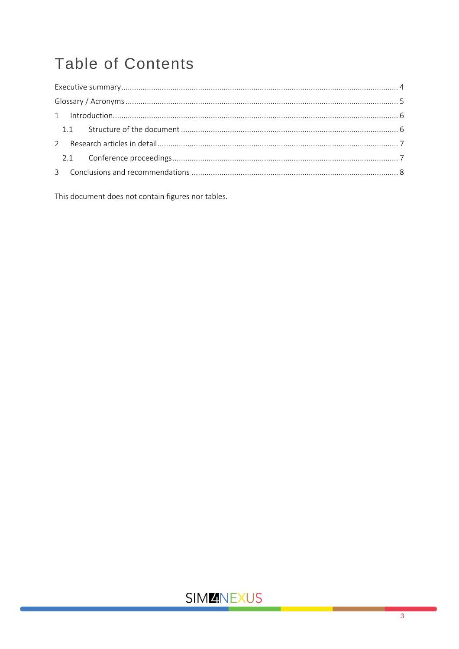# **Table of Contents**

This document does not contain figures nor tables.

## **SIMMNEXUS**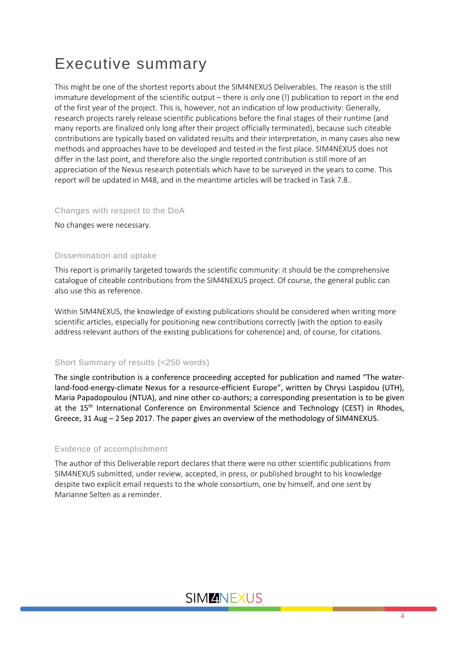## <span id="page-3-0"></span>Executive summary

This might be one of the shortest reports about the SIM4NEXUS Deliverables. The reason is the still immature development of the scientific output – there is only one (!) publication to report in the end of the first year of the project. This is, however, not an indication of low productivity: Generally, research projects rarely release scientific publications before the final stages of their runtime (and many reports are finalized only long after their project officially terminated), because such citeable contributions are typically based on validated results and their interpretation, in many cases also new methods and approaches have to be developed and tested in the first place. SIM4NEXUS does not differ in the last point, and therefore also the single reported contribution is still more of an appreciation of the Nexus research potentials which have to be surveyed in the years to come. This report will be updated in M48, and in the meantime articles will be tracked in Task 7.8..

### Changes with respect to the DoA

No changes were necessary.

#### Dissemination and uptake

This report is primarily targeted towards the scientific community: it should be the comprehensive catalogue of citeable contributions from the SIM4NEXUS project. Of course, the general public can also use this as reference.

Within SIM4NEXUS, the knowledge of existing publications should be considered when writing more scientific articles, especially for positioning new contributions correctly (with the option to easily address relevant authors of the existing publications for coherence) and, of course, for citations.

#### Short Summary of results (<250 words)

The single contribution is a conference proceeding accepted for publication and named "The waterland-food-energy-climate Nexus for a resource-efficient Europe", written by Chrysi Laspidou (UTH), Maria Papadopoulou (NTUA), and nine other co-authors; a corresponding presentation is to be given at the 15<sup>th</sup> International Conference on Environmental Science and Technology (CEST) in Rhodes, Greece, 31 Aug – 2 Sep 2017. The paper gives an overview of the methodology of SIM4NEXUS.

#### Evidence of accomplishment

The author of this Deliverable report declares that there were no other scientific publications from SIM4NEXUS submitted, under review, accepted, in press, or published brought to his knowledge despite two explicit email requests to the whole consortium, one by himself, and one sent by Marianne Selten as a reminder.

### **SIMMINEXUS**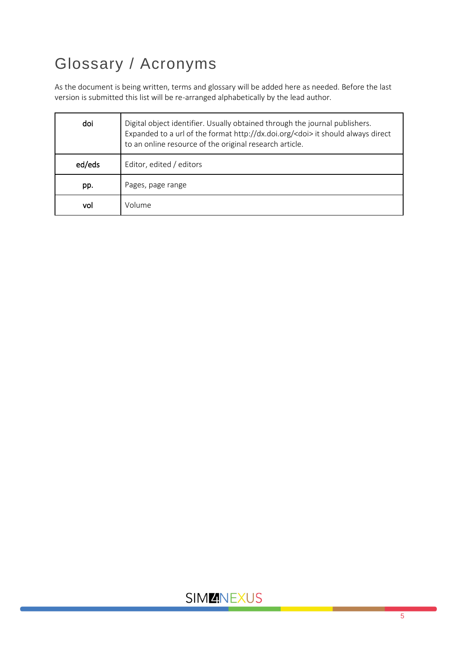# <span id="page-4-0"></span>Glossary / Acronyms

As the document is being written, terms and glossary will be added here as needed. Before the last version is submitted this list will be re-arranged alphabetically by the lead author.

| doi    | Digital object identifier. Usually obtained through the journal publishers.<br>Expanded to a url of the format http://dx.doi.org/ <doi> it should always direct<br/>to an online resource of the original research article.</doi> |  |
|--------|-----------------------------------------------------------------------------------------------------------------------------------------------------------------------------------------------------------------------------------|--|
| ed/eds | Editor, edited / editors                                                                                                                                                                                                          |  |
| pp.    | Pages, page range                                                                                                                                                                                                                 |  |
| vol    | Volume                                                                                                                                                                                                                            |  |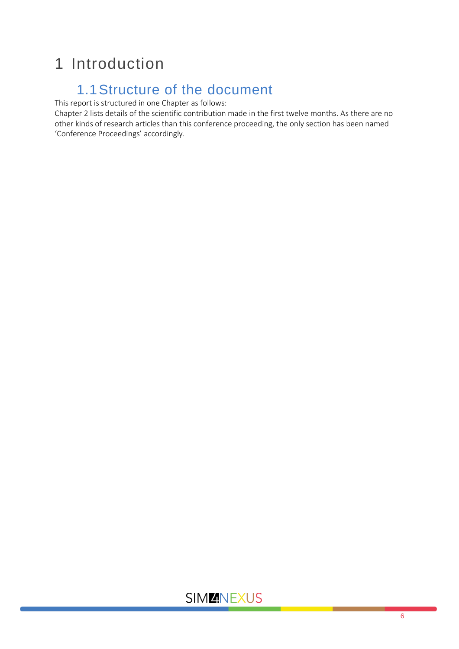## <span id="page-5-0"></span>1 Introduction

## 1.1Structure of the document

<span id="page-5-1"></span>This report is structured in one Chapter as follows:

Chapter 2 lists details of the scientific contribution made in the first twelve months. As there are no other kinds of research articles than this conference proceeding, the only section has been named 'Conference Proceedings' accordingly.

### **SIMMNEXUS**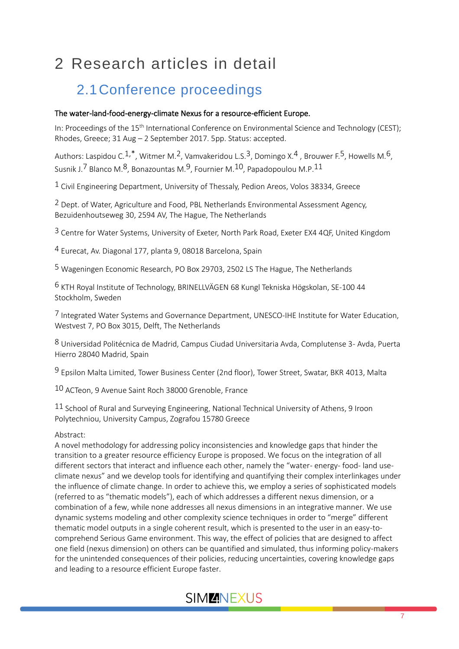# <span id="page-6-0"></span>2 Research articles in detail

## <span id="page-6-1"></span>2.1Conference proceedings

### The water-land-food-energy-climate Nexus for a resource-efficient Europe.

In: Proceedings of the 15<sup>th</sup> International Conference on Environmental Science and Technology (CEST); Rhodes, Greece; 31 Aug – 2 September 2017. 5pp. Status: accepted.

Authors: Laspidou C.<sup>1,\*</sup>, Witmer M.<sup>2</sup>, Vamvakeridou L.S.<sup>3</sup>, Domingo X.<sup>4</sup>, Brouwer F.<sup>5</sup>, Howells M.<sup>6</sup>, Susnik J.<sup>7</sup> Blanco M.<sup>8</sup>, Bonazountas M.<sup>9</sup>, Fournier M.<sup>10</sup>, Papadopoulou M.P.<sup>11</sup>

 $1$  Civil Engineering Department, University of Thessaly, Pedion Areos, Volos 38334, Greece

2 Dept. of Water, Agriculture and Food, PBL Netherlands Environmental Assessment Agency, Bezuidenhoutseweg 30, 2594 AV, The Hague, The Netherlands

<sup>3</sup> Centre for Water Systems, University of Exeter, North Park Road, Exeter EX4 4QF, United Kingdom

4 Eurecat, Av. Diagonal 177, planta 9, 08018 Barcelona, Spain

5 Wageningen Economic Research, PO Box 29703, 2502 LS The Hague, The Netherlands

6 KTH Royal Institute of Technology, BRINELLVÄGEN 68 Kungl Tekniska Högskolan, SE-100 44 Stockholm, Sweden

7 Integrated Water Systems and Governance Department, UNESCO-IHE Institute for Water Education, Westvest 7, PO Box 3015, Delft, The Netherlands

8 Universidad Politécnica de Madrid, Campus Ciudad Universitaria Avda, Complutense 3- Avda, Puerta Hierro 28040 Madrid, Spain

9 Epsilon Malta Limited, Tower Business Center (2nd floor), Tower Street, Swatar, BKR 4013, Malta

10 ACTeon, 9 Avenue Saint Roch 38000 Grenoble, France

 $11$  School of Rural and Surveying Engineering, National Technical University of Athens, 9 Iroon Polytechniou, University Campus, Zografou 15780 Greece

### Abstract:

Α novel methodology for addressing policy inconsistencies and knowledge gaps that hinder the transition to a greater resource efficiency Europe is proposed. We focus on the integration of all different sectors that interact and influence each other, namely the "water- energy- food- land useclimate nexus" and we develop tools for identifying and quantifying their complex interlinkages under the influence of climate change. In order to achieve this, we employ a series of sophisticated models (referred to as "thematic models"), each of which addresses a different nexus dimension, or a combination of a few, while none addresses all nexus dimensions in an integrative manner. We use dynamic systems modeling and other complexity science techniques in order to "merge" different thematic model outputs in a single coherent result, which is presented to the user in an easy-tocomprehend Serious Game environment. This way, the effect of policies that are designed to affect one field (nexus dimension) on others can be quantified and simulated, thus informing policy-makers for the unintended consequences of their policies, reducing uncertainties, covering knowledge gaps and leading to a resource efficient Europe faster.